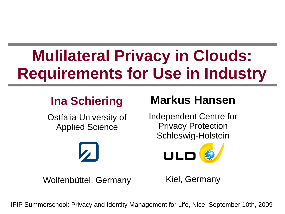# **Mulilateral Privacy in Clouds: Requirements for Use in Industry**

### **Ina Schiering**

Ostfalia University of Applied Science



Wolfenbüttel, Germany

### **Markus Hansen**

Independent Centre for Privacy Protection Schleswig-Holstein



Kiel, Germany

IFIP Summerschool: Privacy and Identity Management for Life, Nice, September 10th, 2009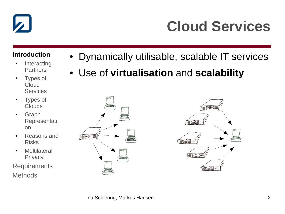

### **Cloud Services**

#### **Introduction**

- **Interacting** Partners
- Types of Cloud **Services**
- Types of Clouds
- **Graph** Representati on
- Reasons and Risks
- Multilateral **Privacy**

**Requirements Methods** 

- Dynamically utilisable, scalable IT services
- Use of **virtualisation** and **scalability**



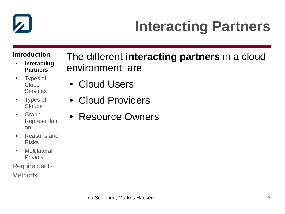

## **Interacting Partners**

#### **Introduction**

- **Interacting Partners**
- Types of Cloud **Services**
- Types of Clouds
- Graph Representati on
- Reasons and Risks
- Multilateral **Privacy**

#### Requirements **Methods**

The different **interacting partners** in a cloud environment are

- Cloud Users
- Cloud Providers
- **Resource Owners**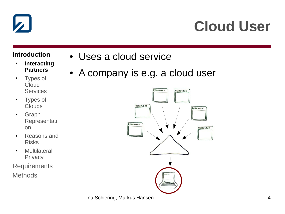

#### **Introduction**

- **Interacting Partners**
- Types of **Cloud Services**
- Types of Clouds
- Graph Representati on
- Reasons and Risks
- Multilateral **Privacy**

**Requirements Methods** 

- Uses a cloud service
- A company is e.g. a cloud user



Ina Schiering, Markus Hansen 4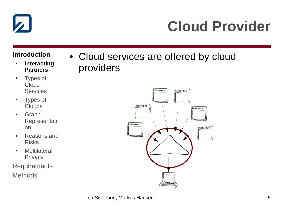

### **Cloud Provider**

#### **Introduction**

- **Interacting Partners**
- Types of **Cloud Services**
- Types of Clouds
- Graph Representati on
- Reasons and Risks
- Multilateral **Privacy**
- **Requirements Methods**

• Cloud services are offered by cloud providers

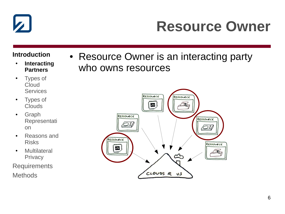

### **Resource Owner**

#### **Introduction**

- **Interacting Partners**
- Types of **Cloud Services**
- Types of Clouds
- Graph Representati on
- Reasons and Risks
- Multilateral **Privacy**
- **Requirements Methods**

• Resource Owner is an interacting party who owns resources

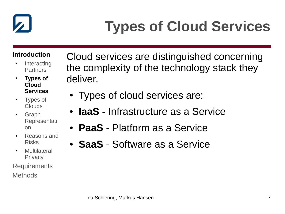

# **Types of Cloud Services**

#### **Introduction**

- **Interacting** Partners
- **Types of Cloud Services**
- Types of Clouds
- Graph Representati on
- Reasons and Risks
- Multilateral **Privacy**
- Requirements **Methods**

Cloud services are distinguished concerning the complexity of the technology stack they deliver.

- Types of cloud services are:
- **IaaS** Infrastructure as a Service
- **PaaS** Platform as a Service
- **SaaS** Software as a Service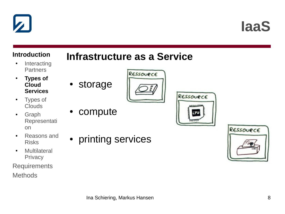

### **IaaS**

#### **Introduction**

### **Infrastructure as a Service**

- Interacting Partners
- **Types of Cloud Services**
- Types of Clouds
- Graph Representati on
- Reasons and Risks
- Multilateral **Privacy**
- **Requirements Methods**

● storage

compute

RESSOURCE



• printing services

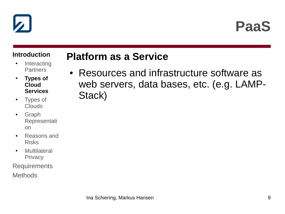



#### **Introduction**

• Interacting **Partners** 

● **Types of Cloud Services**

- Types of Clouds
- Graph Representati on
- Reasons and Risks
- Multilateral **Privacy**

**Requirements Methods** 

### **Platform as a Service**

• Resources and infrastructure software as web servers, data bases, etc. (e.g. LAMP-Stack)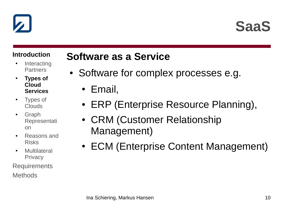



#### **Introduction**

- **Interacting** Partners
- **Types of Cloud Services**
- Types of Clouds
- Graph Representati on
- Reasons and Risks
- Multilateral **Privacy**

Requirements **Methods** 

### **Software as a Service**

- Software for complex processes e.g.
	- Email,
	- ERP (Enterprise Resource Planning),
	- CRM (Customer Relationship Management)
	- ECM (Enterprise Content Management)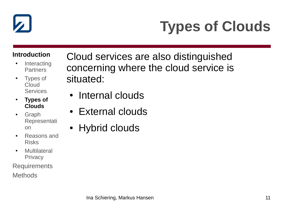

# **Types of Clouds**

#### **Introduction**

- **Interacting** Partners
- Types of Cloud **Services**
- **Types of Clouds**
- Graph Representati on
- Reasons and Risks
- Multilateral **Privacy**

Requirements **Methods** 

Cloud services are also distinguished concerning where the cloud service is situated:

- Internal clouds
- External clouds
- Hybrid clouds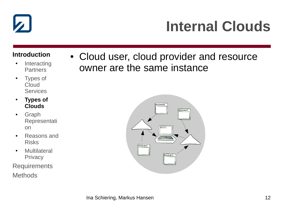

## **Internal Clouds**

#### **Introduction**

- Interacting Partners
- Types of Cloud **Services**
- **Types of Clouds**
- Graph Representati on
- Reasons and Risks
- Multilateral **Privacy**
- **Requirements Methods**

• Cloud user, cloud provider and resource owner are the same instance

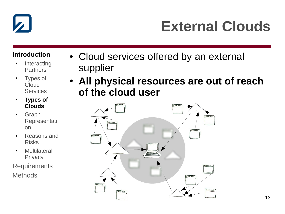

## **External Clouds**

#### **Introduction**

- **Interacting** Partners
- Types of Cloud **Services**
- **Types of Clouds**
- **Graph** Representati on
- Reasons and Risks
- Multilateral **Privacy**
- Requirements **Methods**
- Cloud services offered by an external supplier
- **All physical resources are out of reach of the cloud user**

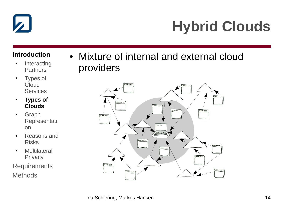

## **Hybrid Clouds**

#### **Introduction**

- **Interacting** Partners
- Types of **Cloud** Services
- **Types of Clouds**
- Graph Representati on
- Reasons and Risks
- Multilateral **Privacy**

**Requirements Methods** 

• Mixture of internal and external cloud providers

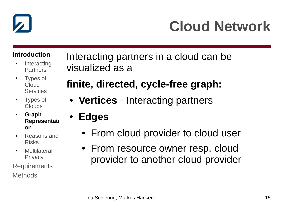

### **Cloud Network**

#### **Introduction**

- **Interacting** Partners
- Types of Cloud **Services**
- Types of Clouds
- **Graph Representati on**
- Reasons and Risks
- Multilateral **Privacy**
- Requirements **Methods**

Interacting partners in a cloud can be visualized as a

### **finite, directed, cycle-free graph:**

- Vertices Interacting partners
	- **Edges**
		- From cloud provider to cloud user
		- From resource owner resp. cloud provider to another cloud provider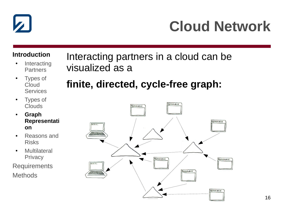

### **Cloud Network**

#### **Introduction**

- **Interacting** Partners
- Types of Cloud **Services**
- visualized as a **finite, directed, cycle-free graph:**

Interacting partners in a cloud can be

- Types of Clouds
- **Graph Representati on**
- Reasons and Risks
- Multilateral **Privacy**

**Requirements Methods** 

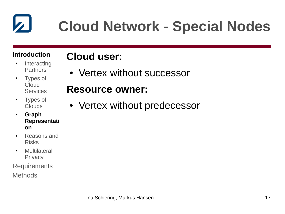# **Cloud Network - Special Nodes**

#### **Introduction**

• Types of Cloud

• Interacting Partners

### **Cloud user:**

• Vertex without successor

### **Resource owner:**

- Vertex without predecessor
- **Graph Representati on**

Services

Types of Clouds

- Reasons and Risks
- Multilateral **Privacy**
- Requirements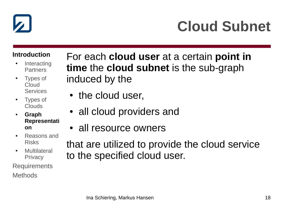

## **Cloud Subnet**

#### **Introduction**

- **Interacting** Partners
- Types of Cloud Services
- Types of Clouds
- **Graph Representati on**
- Reasons and Risks
- Multilateral **Privacy**

### Requirements **Methods**

For each **cloud user** at a certain **point in time** the **cloud subnet** is the sub-graph induced by the

- the cloud user,
- all cloud providers and
- all resource owners
- that are utilized to provide the cloud service to the specified cloud user.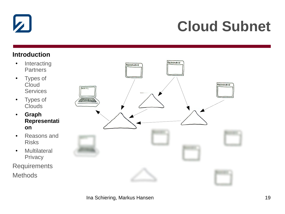

### **Cloud Subnet**

#### **Introduction**

- Interacting **Partners**
- Types of **Cloud Services**
- Types of Clouds
- **Graph Representati on**
- Reasons and Risks
- Multilateral **Privacy**
- **Requirements Methods**

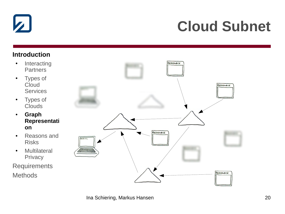

### **Cloud Subnet**

#### **Introduction**

- Interacting Partners
- Types of **Cloud Services**
- Types of Clouds
- **Graph Representati on**
- Reasons and Risks
- Multilateral **Privacy**
- **Requirements Methods**

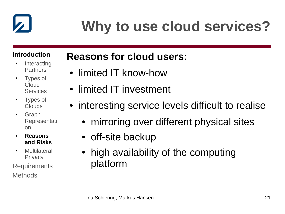

## **Why to use cloud services?**

#### **Introduction**

- **Interacting** Partners
- Types of Cloud Services
- Types of Clouds
- Graph Representati on
- **Reasons and Risks**
- Multilateral **Privacy**

Requirements **Methods** 

### **Reasons for cloud users:**

- limited IT know-how
- limited IT investment
- interesting service levels difficult to realise
	- mirroring over different physical sites
	- off-site backup
	- high availability of the computing platform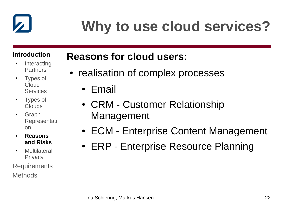

## **Why to use cloud services?**

#### **Introduction**

- **Interacting** Partners
- Types of Cloud Services
- Types of Clouds
- **Graph** Representati on
- **Reasons and Risks**
- Multilateral **Privacy**

Requirements **Methods** 

### **Reasons for cloud users:**

- realisation of complex processes
	- Email
	- CRM Customer Relationship Management
	- ECM Enterprise Content Management
	- ERP Enterprise Resource Planning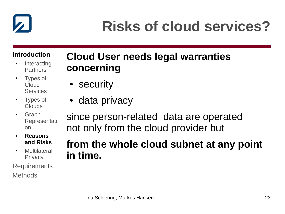

## **Risks of cloud services?**

#### **Introduction**

- **Interacting** Partners
- Types of Cloud Services
- Types of Clouds
- Graph Representati on
- **Reasons and Risks**
- Multilateral **Privacy**

Requirements **Methods** 

### **Cloud User needs legal warranties concerning**

- security
- data privacy

since person-related data are operated not only from the cloud provider but

### **from the whole cloud subnet at any point in time.**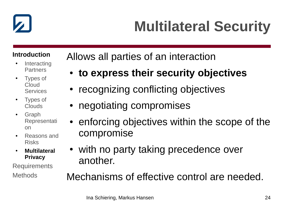

## **Multilateral Security**

#### **Introduction**

- **Interacting** Partners
- Types of Cloud Services
- Types of Clouds
- Graph Representati on
- Reasons and Risks
- **Multilateral Privacy**

Requirements **Methods** 

Allows all parties of an interaction

- to express their security objectives
- recognizing conflicting objectives
- negotiating compromises
- enforcing objectives within the scope of the compromise
- with no party taking precedence over another.

Mechanisms of effective control are needed.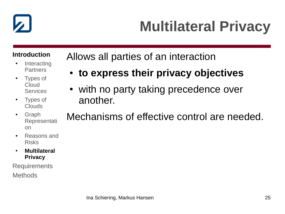

## **Multilateral Privacy**

#### **Introduction**

- **Interacting** Partners
- Types of Cloud Services
- Types of Clouds
- Graph Representati on
- Reasons and Risks
- **Multilateral Privacy**

Requirements **Methods** 

Allows all parties of an interaction

- **to express their privacy objectives**
- with no party taking precedence over another.

Mechanisms of effective control are needed.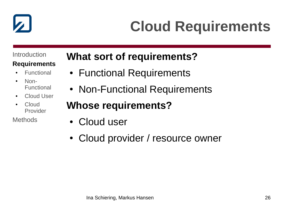

## **Cloud Requirements**

Introduction

#### **Requirements**

- **Functional**
- Non-Functional
- Cloud User
- Cloud Provider

**Methods** 

### **What sort of requirements?**

- Functional Requirements
- Non-Functional Requirements

### **Whose requirements?**

- Cloud user
- Cloud provider / resource owner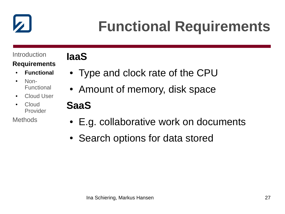

## **Functional Requirements**

#### Introduction

### **Requirements**

- **Functional**
- Non-Functional
- Cloud User
- Cloud Provider

**Methods** 

- Type and clock rate of the CPU
- Amount of memory, disk space

### **SaaS**

**IaaS**

- E.g. collaborative work on documents
- Search options for data stored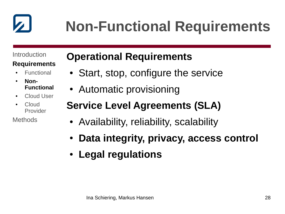

## **Non-Functional Requirements**

Introduction

#### **Requirements**

**Functional** 

● **Non-Functional**

- Cloud User
- Cloud Provider

**Methods** 

### **Operational Requirements**

- Start, stop, configure the service
- Automatic provisioning

### **Service Level Agreements (SLA)**

- Availability, reliability, scalability
- **Data integrity, privacy, access control**
- **Legal regulations**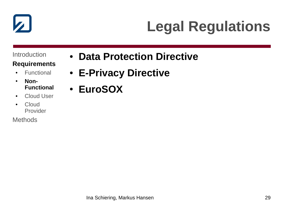

## **Legal Regulations**

Introduction

#### **Requirements**

• Functional

● **Non-Functional**

- Cloud User
- Cloud Provider

- **Data Protection Directive**
- **E-Privacy Directive**
- **EuroSOX**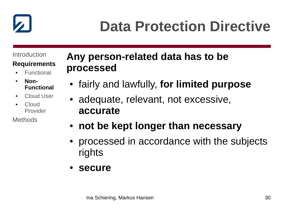

## **Data Protection Directive**

Introduction

#### **Requirements**

- **Functional**
- **Non-Functional**
- Cloud User
- Cloud Provider

**Methods** 

### **Any person-related data has to be processed**

- fairly and lawfully, **for limited purpose**
- adequate, relevant, not excessive, **accurate**
- not be kept longer than necessary
- processed in accordance with the subjects rights
- **secure**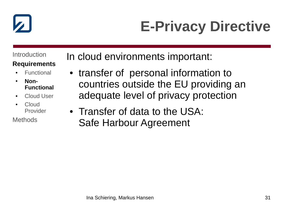

## **E-Privacy Directive**

Introduction

#### **Requirements**

- **Functional**
- **Non-Functional**
- Cloud User
- Cloud Provider

**Methods** 

In cloud environments important:

- transfer of personal information to countries outside the EU providing an adequate level of privacy protection
- Transfer of data to the USA: Safe Harbour Agreement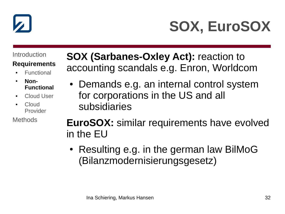

### **SOX, EuroSOX**

Introduction

#### **Requirements**

- **Functional**
- **Non-Functional**
- Cloud User
- Cloud Provider

**Methods** 

**SOX (Sarbanes-Oxley Act):** reaction to accounting scandals e.g. Enron, Worldcom

- Demands e.g. an internal control system for corporations in the US and all subsidiaries
- **EuroSOX:** similar requirements have evolved in the EU
	- Resulting e.g. in the german law BilMoG (Bilanzmodernisierungsgesetz)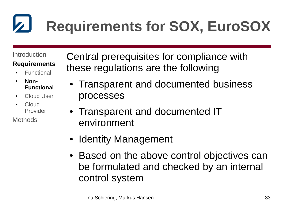# **Requirements for SOX, EuroSOX**

**Introduction** 

#### **Requirements**

**Functional** 

● **Non-Functional**

- Cloud User
- Cloud Provider

**Methods** 

Central prerequisites for compliance with these regulations are the following

- Transparent and documented business processes
- Transparent and documented IT environment
- **Identity Management**
- Based on the above control objectives can be formulated and checked by an internal control system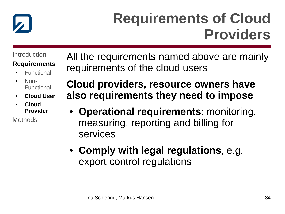

### **Requirements of Cloud Providers**

Introduction

#### **Requirements**

- **Functional**
- Non-Functional
- **Cloud User**
- **Cloud Provider**

**Methods** 

All the requirements named above are mainly requirements of the cloud users

**Cloud providers, resource owners have also requirements they need to impose**

- **Operational requirements**: monitoring, measuring, reporting and billing for services
- **Comply with legal regulations**, e.g. export control regulations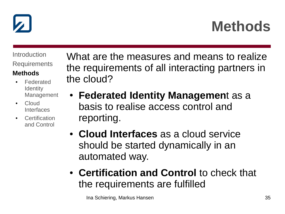

**Introduction** Requirements

#### **Methods**

- **Federated Identity** Management
- **Cloud** Interfaces
- **Certification** and Control

What are the measures and means to realize the requirements of all interacting partners in the cloud?

- **Federated Identity Managemen**t as a basis to realise access control and reporting.
- **Cloud Interfaces** as a cloud service should be started dynamically in an automated way.
- **Certification and Control** to check that the requirements are fulfilled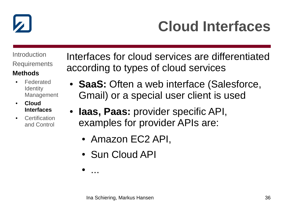

## **Cloud Interfaces**

Introduction **Requirements** 

#### **Methods**

- **Federated Identity** Management
- **Cloud Interfaces**
- Certification and Control

Interfaces for cloud services are differentiated according to types of cloud services

- **SaaS:** Often a web interface (Salesforce, Gmail) or a special user client is used
- **Iaas, Paas:** provider specific API, examples for provider APIs are:
	- Amazon EC2 API,
	- Sun Cloud API

● ...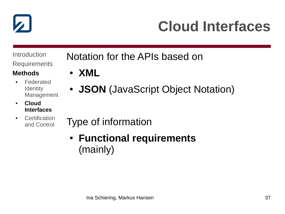

## **Cloud Interfaces**

Introduction **Requirements** 

#### **Methods**

- Federated **Identity** Management
- **Cloud Interfaces**
- Certification and Control

Notation for the APIs based on

- **XML**
- **JSON** (JavaScript Object Notation)

Type of information

● **Functional requirements**  (mainly)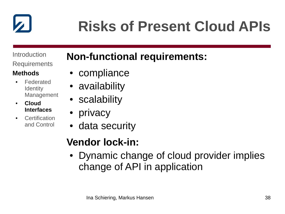

## **Risks of Present Cloud APIs**

Introduction Requirements

### **Methods**

- **Federated Identity** Management
- **Cloud Interfaces**
- **Certification** and Control

### **Non-functional requirements:**

- compliance
- availability
- scalability
- privacy
- data security

### **Vendor lock-in:**

• Dynamic change of cloud provider implies change of API in application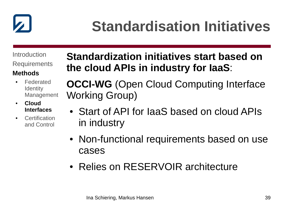

## **Standardisation Initiatives**

Introduction Requirements

#### **Methods**

- **Federated Identity** Management
- **Cloud Interfaces**
- Certification and Control

### **Standardization initiatives start based on the cloud APIs in industry for IaaS**:

**OCCI-WG** (Open Cloud Computing Interface Working Group)

- Start of API for laaS based on cloud APIs in industry
- Non-functional requirements based on use cases
- Relies on RESERVOIR architecture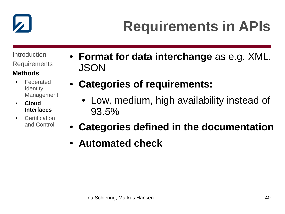

# **Requirements in APIs**

Introduction **Requirements** 

- **Federated Identity** Management
- **Cloud Interfaces**
- **Certification** and Control
- **Format for data interchange** as e.g. XML, **JSON**
- **Categories of requirements:**
	- Low, medium, high availability instead of 93.5%
- **Categories defined in the documentation**
- **Automated check**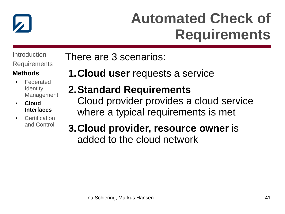

### **Automated Check of Requirements**

**Introduction** Requirements

#### **Methods**

- **Federated Identity** Management
- **Cloud Interfaces**
- **Certification** and Control

There are 3 scenarios:

**1.Cloud user** requests a service

### **2.Standard Requirements**

Cloud provider provides a cloud service where a typical requirements is met

**3.Cloud provider, resource owner** is added to the cloud network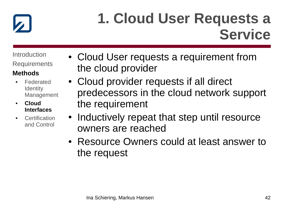

Introduction **Requirements** 

- **Federated Identity** Management
- **Cloud Interfaces**
- **Certification** and Control
- Cloud User requests a requirement from the cloud provider
- Cloud provider requests if all direct predecessors in the cloud network support the requirement
- Inductively repeat that step until resource owners are reached
- Resource Owners could at least answer to the request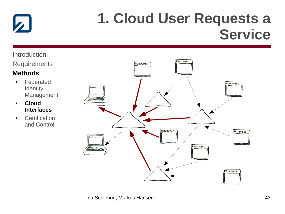

#### Introduction

**Requirements** 

- Federated **Identity** Management
- **Cloud Interfaces**
- Certification and Control

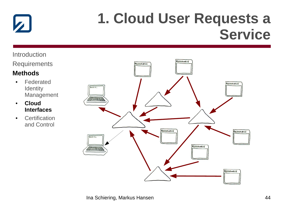

#### Introduction

**Requirements** 

- Federated **Identity** Management
- **Cloud Interfaces**
- Certification and Control

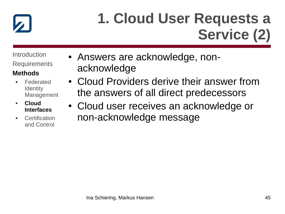

**Introduction Requirements** 

- **Federated Identity** Management
- **Cloud Interfaces**
- **Certification** and Control
- Answers are acknowledge, nonacknowledge
- Cloud Providers derive their answer from the answers of all direct predecessors
- Cloud user receives an acknowledge or non-acknowledge message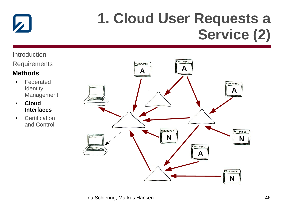#### Introduction

**Requirements** 

- Federated **Identity** Management
- **Cloud Interfaces**
- Certification and Control

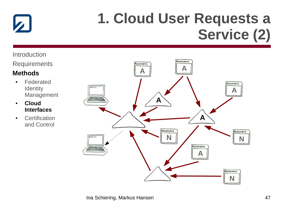#### Introduction

**Requirements** 

- Federated **Identity** Management
- **Cloud Interfaces**
- Certification and Control

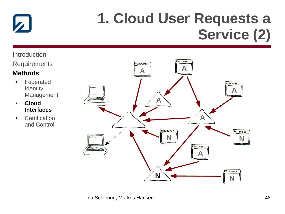#### Introduction

**Requirements** 

- Federated **Identity** Management
- **Cloud Interfaces**
- Certification and Control

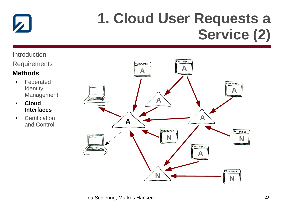#### Introduction

**Requirements** 

- Federated **Identity** Management
- **Cloud Interfaces**
- Certification and Control

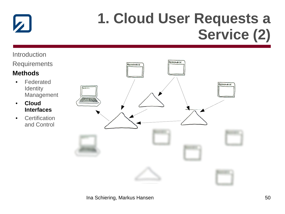

#### Introduction

**Requirements** 

- Federated **Identity** Management
- **Cloud Interfaces**
- Certification and Control

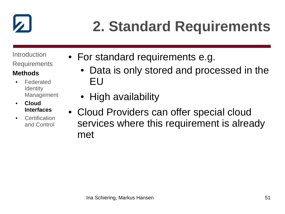

## **2. Standard Requirements**

Introduction **Requirements** 

- **Federated Identity** Management
- **Cloud Interfaces**
- **Certification** and Control
- For standard requirements e.g.
	- Data is only stored and processed in the EU
	- High availability
- Cloud Providers can offer special cloud services where this requirement is already met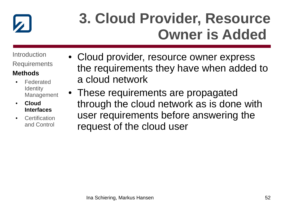

### **3. Cloud Provider, Resource Owner is Added**

**Introduction Requirements** 

- **Federated Identity** Management
- **Cloud Interfaces**
- **Certification** and Control
- Cloud provider, resource owner express the requirements they have when added to a cloud network
- These requirements are propagated through the cloud network as is done with user requirements before answering the request of the cloud user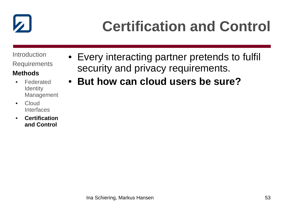

# **Certification and Control**

Introduction Requirements

- **Federated Identity** Management
- Cloud Interfaces
- **Certification and Control**
- Every interacting partner pretends to fulfil security and privacy requirements.
- **But how can cloud users be sure?**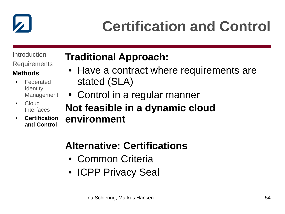

# **Certification and Control**

Introduction **Requirements** 

### **Methods**

- **Federated Identity** Management
- **Cloud** Interfaces
- **Certification and Control**

### **Traditional Approach:**

- Have a contract where requirements are stated (SLA)
- Control in a regular manner
- **Not feasible in a dynamic cloud environment**

### **Alternative: Certifications**

- Common Criteria
- ICPP Privacy Seal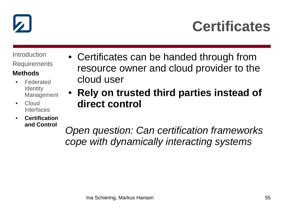

### **Certificates**

Introduction **Requirements** 

#### **Methods**

- **Federated Identity** Management
- **Cloud** Interfaces
- **Certification and Control**
- Certificates can be handed through from resource owner and cloud provider to the cloud user
- **Rely on trusted third parties instead of direct control**

*Open question: Can certification frameworks cope with dynamically interacting systems*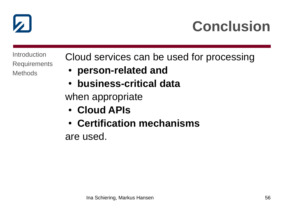

Introduction **Requirements Methods** 

Cloud services can be used for processing

- **person-related and**
- **business-critical data**

when appropriate

- **Cloud APIs**
- **Certification mechanisms**

are used.